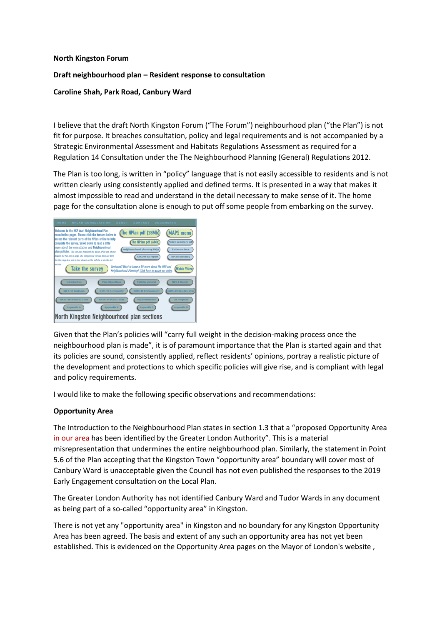#### **North Kingston Forum**

## **Draft neighbourhood plan – Resident response to consultation**

## **Caroline Shah, Park Road, Canbury Ward**

I believe that the draft North Kingston Forum ("The Forum") neighbourhood plan ("the Plan") is not fit for purpose. It breaches consultation, policy and legal requirements and is not accompanied by a Strategic Environmental Assessment and Habitats Regulations Assessment as required for a Regulation 14 Consultation under the The Neighbourhood Planning (General) Regulations 2012.

The Plan is too long, is written in "policy" language that is not easily accessible to residents and is not written clearly using consistently applied and defined terms. It is presented in a way that makes it almost impossible to read and understand in the detail necessary to make sense of it. The home page for the consultation alone is enough to put off some people from embarking on the survey.



Given that the Plan's policies will "carry full weight in the decision-making process once the neighbourhood plan is made", it is of paramount importance that the Plan is started again and that its policies are sound, consistently applied, reflect residents' opinions, portray a realistic picture of the development and protections to which specific policies will give rise, and is compliant with legal and policy requirements.

I would like to make the following specific observations and recommendations:

# **Opportunity Area**

The Introduction to the Neighbourhood Plan states in section 1.3 that a "proposed Opportunity Area in our area has been identified by the Greater London Authority". This is a material misrepresentation that undermines the entire neighbourhood plan. Similarly, the statement in Point 5.6 of the Plan accepting that the Kingston Town "opportunity area" boundary will cover most of Canbury Ward is unacceptable given the Council has not even published the responses to the 2019 Early Engagement consultation on the Local Plan.

The Greater London Authority has not identified Canbury Ward and Tudor Wards in any document as being part of a so-called "opportunity area" in Kingston.

There is not yet any "opportunity area" in Kingston and no boundary for any Kingston Opportunity Area has been agreed. The basis and extent of any such an opportunity area has not yet been established. This is evidenced on the Opportunity Area pages on the Mayor of London's website ,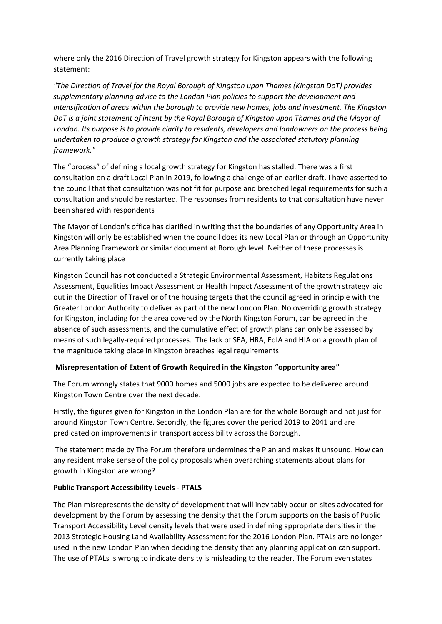where only the 2016 Direction of Travel growth strategy for Kingston appears with the following statement:

*"The Direction of Travel for the Royal Borough of Kingston upon Thames (Kingston DoT) provides supplementary planning advice to the London Plan policies to support the development and intensification of areas within the borough to provide new homes, jobs and investment. The Kingston DoT is a joint statement of intent by the Royal Borough of Kingston upon Thames and the Mayor of London. Its purpose is to provide clarity to residents, developers and landowners on the process being undertaken to produce a growth strategy for Kingston and the associated statutory planning framework."* 

The "process" of defining a local growth strategy for Kingston has stalled. There was a first consultation on a draft Local Plan in 2019, following a challenge of an earlier draft. I have asserted to the council that that consultation was not fit for purpose and breached legal requirements for such a consultation and should be restarted. The responses from residents to that consultation have never been shared with respondents

The Mayor of London's office has clarified in writing that the boundaries of any Opportunity Area in Kingston will only be established when the council does its new Local Plan or through an Opportunity Area Planning Framework or similar document at Borough level. Neither of these processes is currently taking place

Kingston Council has not conducted a Strategic Environmental Assessment, Habitats Regulations Assessment, Equalities Impact Assessment or Health Impact Assessment of the growth strategy laid out in the Direction of Travel or of the housing targets that the council agreed in principle with the Greater London Authority to deliver as part of the new London Plan. No overriding growth strategy for Kingston, including for the area covered by the North Kingston Forum, can be agreed in the absence of such assessments, and the cumulative effect of growth plans can only be assessed by means of such legally-required processes. The lack of SEA, HRA, EqIA and HIA on a growth plan of the magnitude taking place in Kingston breaches legal requirements

## **Misrepresentation of Extent of Growth Required in the Kingston "opportunity area"**

The Forum wrongly states that 9000 homes and 5000 jobs are expected to be delivered around Kingston Town Centre over the next decade.

Firstly, the figures given for Kingston in the London Plan are for the whole Borough and not just for around Kingston Town Centre. Secondly, the figures cover the period 2019 to 2041 and are predicated on improvements in transport accessibility across the Borough.

The statement made by The Forum therefore undermines the Plan and makes it unsound. How can any resident make sense of the policy proposals when overarching statements about plans for growth in Kingston are wrong?

## **Public Transport Accessibility Levels - PTALS**

The Plan misrepresents the density of development that will inevitably occur on sites advocated for development by the Forum by assessing the density that the Forum supports on the basis of Public Transport Accessibility Level density levels that were used in defining appropriate densities in the 2013 Strategic Housing Land Availability Assessment for the 2016 London Plan. PTALs are no longer used in the new London Plan when deciding the density that any planning application can support. The use of PTALs is wrong to indicate density is misleading to the reader. The Forum even states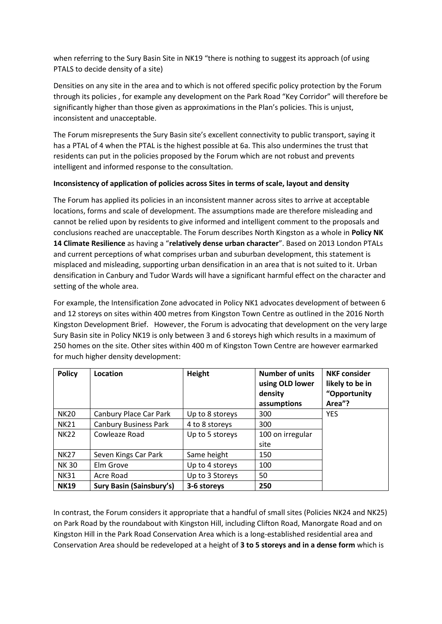when referring to the Sury Basin Site in NK19 "there is nothing to suggest its approach (of using PTALS to decide density of a site)

Densities on any site in the area and to which is not offered specific policy protection by the Forum through its policies , for example any development on the Park Road "Key Corridor" will therefore be significantly higher than those given as approximations in the Plan's policies. This is unjust, inconsistent and unacceptable.

The Forum misrepresents the Sury Basin site's excellent connectivity to public transport, saying it has a PTAL of 4 when the PTAL is the highest possible at 6a. This also undermines the trust that residents can put in the policies proposed by the Forum which are not robust and prevents intelligent and informed response to the consultation.

# **Inconsistency of application of policies across Sites in terms of scale, layout and density**

The Forum has applied its policies in an inconsistent manner across sites to arrive at acceptable locations, forms and scale of development. The assumptions made are therefore misleading and cannot be relied upon by residents to give informed and intelligent comment to the proposals and conclusions reached are unacceptable. The Forum describes North Kingston as a whole in **Policy NK 14 Climate Resilience** as having a "**relatively dense urban character**". Based on 2013 London PTALs and current perceptions of what comprises urban and suburban development, this statement is misplaced and misleading, supporting urban densification in an area that is not suited to it. Urban densification in Canbury and Tudor Wards will have a significant harmful effect on the character and setting of the whole area.

For example, the Intensification Zone advocated in Policy NK1 advocates development of between 6 and 12 storeys on sites within 400 metres from Kingston Town Centre as outlined in the 2016 North Kingston Development Brief. However, the Forum is advocating that development on the very large Sury Basin site in Policy NK19 is only between 3 and 6 storeys high which results in a maximum of 250 homes on the site. Other sites within 400 m of Kingston Town Centre are however earmarked for much higher density development:

| <b>Policy</b> | Location                        | Height          | <b>Number of units</b><br>using OLD lower<br>density<br>assumptions | <b>NKF</b> consider<br>likely to be in<br>"Opportunity<br>Area"? |
|---------------|---------------------------------|-----------------|---------------------------------------------------------------------|------------------------------------------------------------------|
| <b>NK20</b>   | Canbury Place Car Park          | Up to 8 storeys | 300                                                                 | <b>YES</b>                                                       |
| <b>NK21</b>   | <b>Canbury Business Park</b>    | 4 to 8 storeys  | 300                                                                 |                                                                  |
| <b>NK22</b>   | Cowleaze Road                   | Up to 5 storeys | 100 on irregular                                                    |                                                                  |
|               |                                 |                 | site                                                                |                                                                  |
| <b>NK27</b>   | Seven Kings Car Park            | Same height     | 150                                                                 |                                                                  |
| <b>NK30</b>   | Elm Grove                       | Up to 4 storeys | 100                                                                 |                                                                  |
| <b>NK31</b>   | Acre Road                       | Up to 3 Storeys | 50                                                                  |                                                                  |
| <b>NK19</b>   | <b>Sury Basin (Sainsbury's)</b> | 3-6 storeys     | 250                                                                 |                                                                  |

In contrast, the Forum considers it appropriate that a handful of small sites (Policies NK24 and NK25) on Park Road by the roundabout with Kingston Hill, including Clifton Road, Manorgate Road and on Kingston Hill in the Park Road Conservation Area which is a long-established residential area and Conservation Area should be redeveloped at a height of **3 to 5 storeys and in a dense form** which is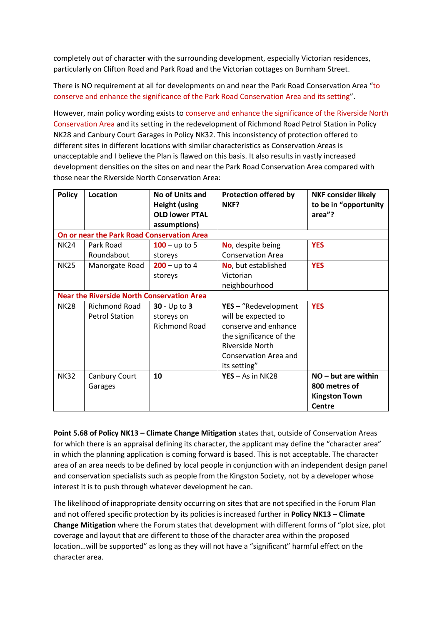completely out of character with the surrounding development, especially Victorian residences, particularly on Clifton Road and Park Road and the Victorian cottages on Burnham Street.

There is NO requirement at all for developments on and near the Park Road Conservation Area "to conserve and enhance the significance of the Park Road Conservation Area and its setting".

However, main policy wording exists to conserve and enhance the significance of the Riverside North Conservation Area and its setting in the redevelopment of Richmond Road Petrol Station in Policy NK28 and Canbury Court Garages in Policy NK32. This inconsistency of protection offered to different sites in different locations with similar characteristics as Conservation Areas is unacceptable and I believe the Plan is flawed on this basis. It also results in vastly increased development densities on the sites on and near the Park Road Conservation Area compared with those near the Riverside North Conservation Area:

| <b>Policy</b> | Location                                          | No of Units and<br><b>Height (using</b><br><b>OLD lower PTAL</b><br>assumptions) | <b>Protection offered by</b><br>NKF?                                                                                                                              | <b>NKF consider likely</b><br>to be in "opportunity<br>area"?                   |
|---------------|---------------------------------------------------|----------------------------------------------------------------------------------|-------------------------------------------------------------------------------------------------------------------------------------------------------------------|---------------------------------------------------------------------------------|
|               | On or near the Park Road Conservation Area        |                                                                                  |                                                                                                                                                                   |                                                                                 |
| <b>NK24</b>   | Park Road<br>Roundabout                           | $100 - up to 5$<br>storeys                                                       | No, despite being<br><b>Conservation Area</b>                                                                                                                     | <b>YES</b>                                                                      |
| <b>NK25</b>   | Manorgate Road                                    | $200 - up to 4$<br>storeys                                                       | No, but established<br>Victorian<br>neighbourhood                                                                                                                 | <b>YES</b>                                                                      |
|               | <b>Near the Riverside North Conservation Area</b> |                                                                                  |                                                                                                                                                                   |                                                                                 |
| <b>NK28</b>   | Richmond Road<br><b>Petrol Station</b>            | $30 - Up to 3$<br>storeys on<br><b>Richmond Road</b>                             | YES - "Redevelopment<br>will be expected to<br>conserve and enhance<br>the significance of the<br><b>Riverside North</b><br>Conservation Area and<br>its setting" | <b>YES</b>                                                                      |
| <b>NK32</b>   | Canbury Court<br>Garages                          | 10                                                                               | $YES - As$ in NK28                                                                                                                                                | $NO - but$ are within<br>800 metres of<br><b>Kingston Town</b><br><b>Centre</b> |

**Point 5.68 of Policy NK13 – Climate Change Mitigation** states that, outside of Conservation Areas for which there is an appraisal defining its character, the applicant may define the "character area" in which the planning application is coming forward is based. This is not acceptable. The character area of an area needs to be defined by local people in conjunction with an independent design panel and conservation specialists such as people from the Kingston Society, not by a developer whose interest it is to push through whatever development he can.

The likelihood of inappropriate density occurring on sites that are not specified in the Forum Plan and not offered specific protection by its policies is increased further in **Policy NK13 – Climate Change Mitigation** where the Forum states that development with different forms of "plot size, plot coverage and layout that are different to those of the character area within the proposed location…will be supported" as long as they will not have a "significant" harmful effect on the character area.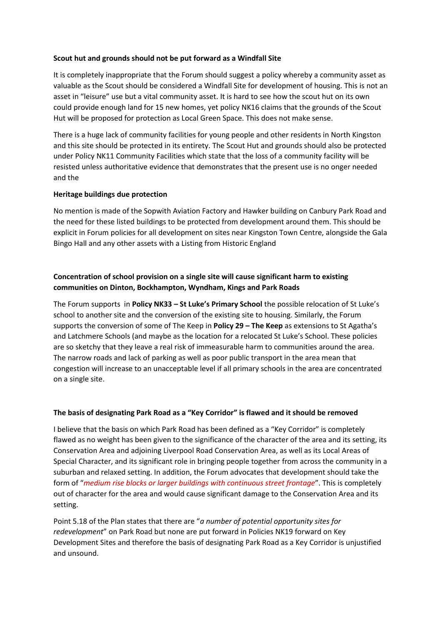# **Scout hut and grounds should not be put forward as a Windfall Site**

It is completely inappropriate that the Forum should suggest a policy whereby a community asset as valuable as the Scout should be considered a Windfall Site for development of housing. This is not an asset in "leisure" use but a vital community asset. It is hard to see how the scout hut on its own could provide enough land for 15 new homes, yet policy NK16 claims that the grounds of the Scout Hut will be proposed for protection as Local Green Space. This does not make sense.

There is a huge lack of community facilities for young people and other residents in North Kingston and this site should be protected in its entirety. The Scout Hut and grounds should also be protected under Policy NK11 Community Facilities which state that the loss of a community facility will be resisted unless authoritative evidence that demonstrates that the present use is no onger needed and the

# **Heritage buildings due protection**

No mention is made of the Sopwith Aviation Factory and Hawker building on Canbury Park Road and the need for these listed buildings to be protected from development around them. This should be explicit in Forum policies for all development on sites near Kingston Town Centre, alongside the Gala Bingo Hall and any other assets with a Listing from Historic England

# **Concentration of school provision on a single site will cause significant harm to existing communities on Dinton, Bockhampton, Wyndham, Kings and Park Roads**

The Forum supports in **Policy NK33 – St Luke's Primary School** the possible relocation of St Luke's school to another site and the conversion of the existing site to housing. Similarly, the Forum supports the conversion of some of The Keep in **Policy 29 – The Keep** as extensions to St Agatha's and Latchmere Schools (and maybe as the location for a relocated St Luke's School. These policies are so sketchy that they leave a real risk of immeasurable harm to communities around the area. The narrow roads and lack of parking as well as poor public transport in the area mean that congestion will increase to an unacceptable level if all primary schools in the area are concentrated on a single site.

## **The basis of designating Park Road as a "Key Corridor" is flawed and it should be removed**

I believe that the basis on which Park Road has been defined as a "Key Corridor" is completely flawed as no weight has been given to the significance of the character of the area and its setting, its Conservation Area and adjoining Liverpool Road Conservation Area, as well as its Local Areas of Special Character, and its significant role in bringing people together from across the community in a suburban and relaxed setting. In addition, the Forum advocates that development should take the form of "*medium rise blocks or larger buildings with continuous street frontage*". This is completely out of character for the area and would cause significant damage to the Conservation Area and its setting.

Point 5.18 of the Plan states that there are "*a number of potential opportunity sites for redevelopment*" on Park Road but none are put forward in Policies NK19 forward on Key Development Sites and therefore the basis of designating Park Road as a Key Corridor is unjustified and unsound.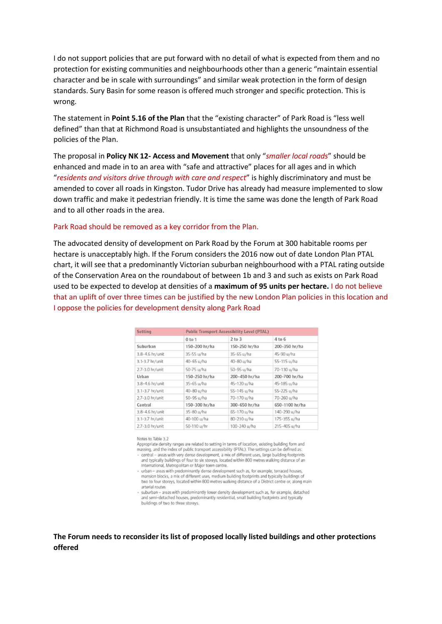I do not support policies that are put forward with no detail of what is expected from them and no protection for existing communities and neighbourhoods other than a generic "maintain essential character and be in scale with surroundings" and similar weak protection in the form of design standards. Sury Basin for some reason is offered much stronger and specific protection. This is wrong.

The statement in **Point 5.16 of the Plan** that the "existing character" of Park Road is "less well defined" than that at Richmond Road is unsubstantiated and highlights the unsoundness of the policies of the Plan.

The proposal in **Policy NK 12- Access and Movement** that only "*smaller local roads*" should be enhanced and made in to an area with "safe and attractive" places for all ages and in which "*residents and visitors drive through with care and respect*" is highly discriminatory and must be amended to cover all roads in Kingston. Tudor Drive has already had measure implemented to slow down traffic and make it pedestrian friendly. It is time the same was done the length of Park Road and to all other roads in the area.

#### Park Road should be removed as a key corridor from the Plan.

The advocated density of development on Park Road by the Forum at 300 habitable rooms per hectare is unacceptably high. If the Forum considers the 2016 now out of date London Plan PTAL chart, it will see that a predominantly Victorian suburban neighbourhood with a PTAL rating outside of the Conservation Area on the roundabout of between 1b and 3 and such as exists on Park Road used to be expected to develop at densities of a **maximum of 95 units per hectare.** I do not believe that an uplift of over three times can be justified by the new London Plan policies in this location and I oppose the policies for development density along Park Road

| <b>Setting</b>      | <b>Public Transport Accessibility Level (PTAL)</b> |               |                |  |  |
|---------------------|----------------------------------------------------|---------------|----------------|--|--|
|                     | $0$ to $1$                                         | $2$ to $3$    | 4 to 6         |  |  |
| Suburban            | 150-200 hr/ha                                      | 150-250 hr/ha | 200-350 hr/ha  |  |  |
| 3.8-4.6 hr/unit     | 35-55 u/ha                                         | 35-65 u/ha    | 45-90 u/ha     |  |  |
| 3.1-3.7 hr/unit     | 40-65 u/ha                                         | 40-80 u/ha    | 55-115 u/ha    |  |  |
| 2.7-3.0 hr/unit     | 50-75 u/ha                                         | 50-95 u/ha    | 70-130 u/ha    |  |  |
| Urban               | 150-250 hr/ha                                      | 200-450 hr/ha | 200-700 hr/ha  |  |  |
| 3.8-4.6 hr/unit     | 35-65 u/ha                                         | 45-120 u/ha   | 45-185 u/ha    |  |  |
| $3.1 - 3.7$ hr/unit | 40-80 u/ha                                         | 55-145 u/ha   | 55-225 u/ha    |  |  |
| $2.7 - 3.0$ hr/unit | 50-95 u/ha                                         | 70-170 u/ha   | 70-260 u/ha    |  |  |
| Central             | 150-300 hr/ha                                      | 300-650 hr/ha | 650-1100 hr/ha |  |  |
| 3.8-4.6 hr/unit     | 35-80 u/ha                                         | 65-170 u/ha   | 140-290 u/ha   |  |  |
| $3.1 - 3.7$ hr/unit | 40-100 u/ha                                        | 80-210 u/ha   | 175-355 u/ha   |  |  |
| 2.7-3.0 hr/unit     | 50-110 u/hr                                        | 100-240 u/ha  | 215-405 u/ha   |  |  |

#### Notes to Table 3.2

Notes to solve J...<br>Appropriate density ranges are related to setting in terms of location, existing building form and<br>massing, and the index of public transport accessibility (PTAL). The settings can be defined as:

- central areas with very dense development, a mix of different uses, large building footprints<br>and typically buildings of four to six storeys, located within 800 metres walking distance of an International, Metropolitan or Major town centre.
- · urban areas with predominantly dense development such as, for example, terraced houses,<br>mansion blocks, a mix of different uses, medium building footprints and typically buildings of two to four storeys, located within 800 metres walking distance of a District centre or, along main arterial routes

· suburban - areas with predominantly lower density development such as, for example, detached and semi-detached houses, predominantly residential, small building footprints and typically buildings of two to three storeys.

**The Forum needs to reconsider its list of proposed locally listed buildings and other protections offered**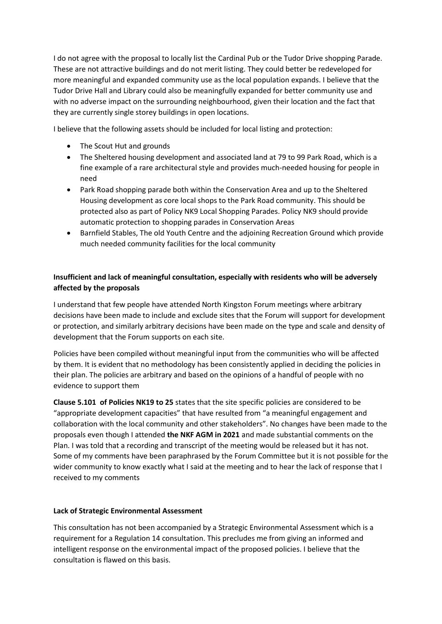I do not agree with the proposal to locally list the Cardinal Pub or the Tudor Drive shopping Parade. These are not attractive buildings and do not merit listing. They could better be redeveloped for more meaningful and expanded community use as the local population expands. I believe that the Tudor Drive Hall and Library could also be meaningfully expanded for better community use and with no adverse impact on the surrounding neighbourhood, given their location and the fact that they are currently single storey buildings in open locations.

I believe that the following assets should be included for local listing and protection:

- The Scout Hut and grounds
- The Sheltered housing development and associated land at 79 to 99 Park Road, which is a fine example of a rare architectural style and provides much-needed housing for people in need
- Park Road shopping parade both within the Conservation Area and up to the Sheltered Housing development as core local shops to the Park Road community. This should be protected also as part of Policy NK9 Local Shopping Parades. Policy NK9 should provide automatic protection to shopping parades in Conservation Areas
- Barnfield Stables, The old Youth Centre and the adjoining Recreation Ground which provide much needed community facilities for the local community

# **Insufficient and lack of meaningful consultation, especially with residents who will be adversely affected by the proposals**

I understand that few people have attended North Kingston Forum meetings where arbitrary decisions have been made to include and exclude sites that the Forum will support for development or protection, and similarly arbitrary decisions have been made on the type and scale and density of development that the Forum supports on each site.

Policies have been compiled without meaningful input from the communities who will be affected by them. It is evident that no methodology has been consistently applied in deciding the policies in their plan. The policies are arbitrary and based on the opinions of a handful of people with no evidence to support them

**Clause 5.101 of Policies NK19 to 25** states that the site specific policies are considered to be "appropriate development capacities" that have resulted from "a meaningful engagement and collaboration with the local community and other stakeholders". No changes have been made to the proposals even though I attended **the NKF AGM in 2021** and made substantial comments on the Plan. I was told that a recording and transcript of the meeting would be released but it has not. Some of my comments have been paraphrased by the Forum Committee but it is not possible for the wider community to know exactly what I said at the meeting and to hear the lack of response that I received to my comments

## **Lack of Strategic Environmental Assessment**

This consultation has not been accompanied by a Strategic Environmental Assessment which is a requirement for a Regulation 14 consultation. This precludes me from giving an informed and intelligent response on the environmental impact of the proposed policies. I believe that the consultation is flawed on this basis.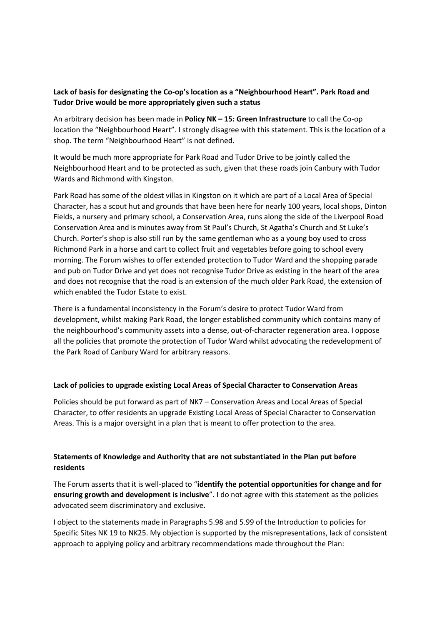# **Lack of basis for designating the Co-op's location as a "Neighbourhood Heart". Park Road and Tudor Drive would be more appropriately given such a status**

An arbitrary decision has been made in **Policy NK – 15: Green Infrastructure** to call the Co-op location the "Neighbourhood Heart". I strongly disagree with this statement. This is the location of a shop. The term "Neighbourhood Heart" is not defined.

It would be much more appropriate for Park Road and Tudor Drive to be jointly called the Neighbourhood Heart and to be protected as such, given that these roads join Canbury with Tudor Wards and Richmond with Kingston.

Park Road has some of the oldest villas in Kingston on it which are part of a Local Area of Special Character, has a scout hut and grounds that have been here for nearly 100 years, local shops, Dinton Fields, a nursery and primary school, a Conservation Area, runs along the side of the Liverpool Road Conservation Area and is minutes away from St Paul's Church, St Agatha's Church and St Luke's Church. Porter's shop is also still run by the same gentleman who as a young boy used to cross Richmond Park in a horse and cart to collect fruit and vegetables before going to school every morning. The Forum wishes to offer extended protection to Tudor Ward and the shopping parade and pub on Tudor Drive and yet does not recognise Tudor Drive as existing in the heart of the area and does not recognise that the road is an extension of the much older Park Road, the extension of which enabled the Tudor Estate to exist.

There is a fundamental inconsistency in the Forum's desire to protect Tudor Ward from development, whilst making Park Road, the longer established community which contains many of the neighbourhood's community assets into a dense, out-of-character regeneration area. I oppose all the policies that promote the protection of Tudor Ward whilst advocating the redevelopment of the Park Road of Canbury Ward for arbitrary reasons.

## **Lack of policies to upgrade existing Local Areas of Special Character to Conservation Areas**

Policies should be put forward as part of NK7 – Conservation Areas and Local Areas of Special Character, to offer residents an upgrade Existing Local Areas of Special Character to Conservation Areas. This is a major oversight in a plan that is meant to offer protection to the area.

# **Statements of Knowledge and Authority that are not substantiated in the Plan put before residents**

The Forum asserts that it is well-placed to "**identify the potential opportunities for change and for ensuring growth and development is inclusive**". I do not agree with this statement as the policies advocated seem discriminatory and exclusive.

I object to the statements made in Paragraphs 5.98 and 5.99 of the Introduction to policies for Specific Sites NK 19 to NK25. My objection is supported by the misrepresentations, lack of consistent approach to applying policy and arbitrary recommendations made throughout the Plan: